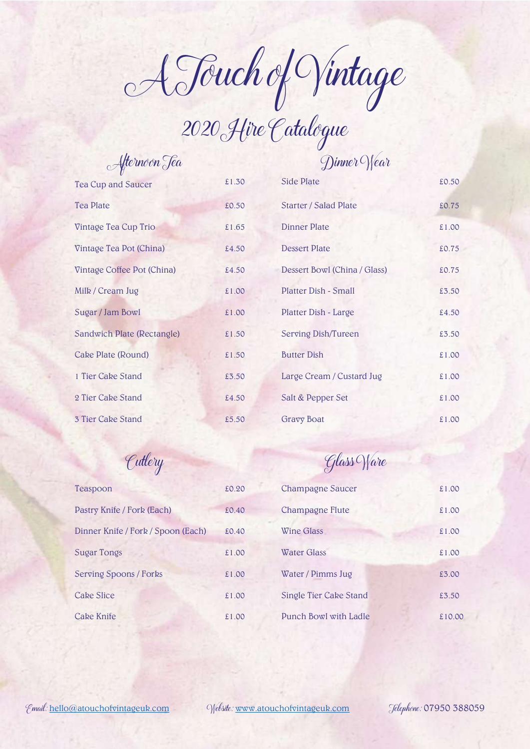A Touch of Vintage

2020Hire Catalogue

| Afternoon Tea              |       |
|----------------------------|-------|
| Tea Cup and Saucer         | £1.30 |
| <b>Tea Plate</b>           | £0.50 |
| Vintage Tea Cup Trio       | £1.65 |
| Vintage Tea Pot (China)    | £4.50 |
| Vintage Coffee Pot (China) | £4.50 |
| Milk / Cream Jug           | £1.00 |
| Sugar / Jam Bowl           | £1.00 |
| Sandwich Plate (Rectangle) | £1.50 |
| Cake Plate (Round)         | £1.50 |
| 1 Tier Cake Stand          | £3.50 |
| 2 Tier Cake Stand          | £4.50 |
| 3 Tier Cake Stand          | £5.50 |

## Dinner Wear

| Tea Cup and Saucer         | £1.30 | Side Plate                   | £0.50 |
|----------------------------|-------|------------------------------|-------|
| <b>Tea Plate</b>           | £0.50 | <b>Starter / Salad Plate</b> | £0.75 |
| Vintage Tea Cup Trio       | £1.65 | <b>Dinner Plate</b>          | £1.00 |
| Vintage Tea Pot (China)    | £4.50 | <b>Dessert Plate</b>         | £0.75 |
| Vintage Coffee Pot (China) | £4.50 | Dessert Bowl (China / Glass) | £0.75 |
| Milk / Cream Jug           | £1.00 | Platter Dish - Small         | £3.50 |
| Sugar / Jam Bowl           | £1.00 | Platter Dish - Large         | £4.50 |
| Sandwich Plate (Rectangle) | £1.50 | Serving Dish/Tureen          | £3.50 |
| Cake Plate (Round)         | £1.50 | <b>Butter Dish</b>           | £1.00 |
| 1 Tier Cake Stand          | £3.50 | Large Cream / Custard Jug    | £1.00 |
| 2 Tier Cake Stand          | £4.50 | Salt & Pepper Set            | £1.00 |
| <b>3 Tier Cake Stand</b>   | £5.50 | <b>Gravy Boat</b>            | £1.00 |
|                            |       |                              |       |

| Teaspoon                           | £0.20 |
|------------------------------------|-------|
| Pastry Knife / Fork (Each)         | £0.40 |
| Dinner Knife / Fork / Spoon (Each) | £0.40 |
| Sugar Tongs                        | £1.00 |
| <b>Serving Spoons / Forks</b>      | £1.00 |
| Cake Slice                         | £1.00 |
| <b>Cake Knife</b>                  | £1.00 |

## Cutlery Glass Ware

| Teaspoon                           | £0.20 | Champagne Saucer       | £1.00  |
|------------------------------------|-------|------------------------|--------|
| Pastry Knife / Fork (Each)         | £0.40 | Champagne Flute        | £1.00  |
| Dinner Knife / Fork / Spoon (Each) | £0.40 | Wine Glass             | £1.00  |
| Sugar Tongs                        | £1.00 | <b>Water Glass</b>     | £1.00  |
| Serving Spoons / Forks             | £1.00 | Water / Pimms Jug      | £3.00  |
| <b>Cake Slice</b>                  | £1.00 | Single Tier Cake Stand | £3.50  |
| Cake Knife                         | £1.00 | Punch Bowl with Ladle  | £10.00 |